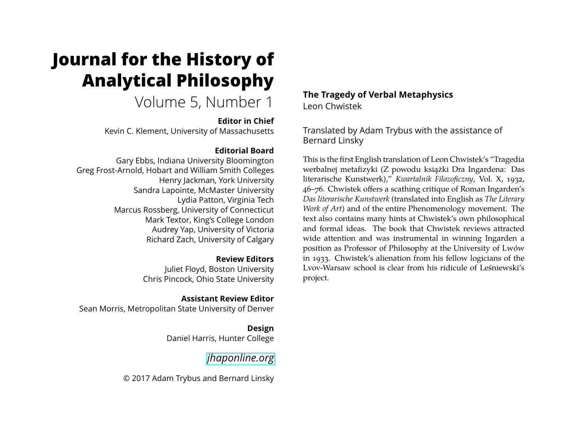# **Journal for the History of Analytical Philosophy**

# Volume 5, Number 1

#### **Editor in Chief**

Kevin C. Klement, University of Massachusetts

### **Editorial Board**

Gary Ebbs, Indiana University Bloomington Greg Frost-Arnold, Hobart and William Smith Colleges Henry Jackman, York University Sandra Lapointe, McMaster University Lydia Patton, Virginia Tech Marcus Rossberg, University of Connecticut Mark Textor, King's College London Audrey Yap, University of Victoria Richard Zach, University of Calgary

# **Review Editors**

Juliet Floyd, Boston University Chris Pincock, Ohio State University

#### **Assistant Review Editor**

Sean Morris, Metropolitan State University of Denver

#### **Design** Daniel Harris, Hunter College

# *[jhaponline.org](https://jhaponline.org)*

© 2017 Adam Trybus and Bernard Linsky

## **The Tragedy of Verbal Metaphysics** Leon Chwistek

Translated by Adam Trybus with the assistance of Bernard Linsky

This is the first English translation of Leon Chwistek's "Tragedia werbalnej metafizyki (Z powodu książki Dra Ingardena: Das literarische Kunstwerk)," *Kwartalnik Filozoficzny*, Vol. X, 1932, 46–76. Chwistek offers a scathing critique of Roman Ingarden's *Das literarische Kunstwerk* (translated into English as *The Literary Work of Art*) and of the entire Phenomenology movement. The text also contains many hints at Chwistek's own philosophical and formal ideas. The book that Chwistek reviews attracted wide attention and was instrumental in winning Ingarden a position as Professor of Philosophy at the University of Lwów in 1933. Chwistek's alienation from his fellow logicians of the Lvov-Warsaw school is clear from his ridicule of Leśniewski's project.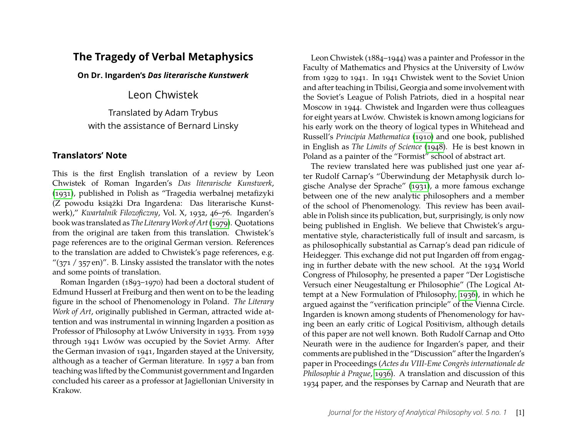# **The Tragedy of Verbal Metaphysics**

**On Dr. Ingarden's** *Das literarische Kunstwerk*

Leon Chwistek

Translated by Adam Trybus with the assistance of Bernard Linsky

#### **Translators' Note**

This is the first English translation of a review by Leon Chwistek of Roman Ingarden's *Das literarische Kunstwerk*, [\(1931\)](#page-20-0), published in Polish as "Tragedia werbalnej metafizyki (Z powodu książki Dra Ingardena: Das literarische Kunstwerk)," *Kwartalnik Filozoficzny*, Vol. X, 1932, 46–76. Ingarden's book was translated as *The LiteraryWork of Art*[\(1979\)](#page-20-1). Quotations from the original are taken from this translation. Chwistek's page references are to the original German version. References to the translation are added to Chwistek's page references, e.g. " $(371 / 357 \text{ en})$ ". B. Linsky assisted the translator with the notes and some points of translation.

Roman Ingarden (1893–1970) had been a doctoral student of Edmund Husserl at Freiburg and then went on to be the leading figure in the school of Phenomenology in Poland. *The Literary Work of Art*, originally published in German, attracted wide attention and was instrumental in winning Ingarden a position as Professor of Philosophy at Lwów University in 1933. From 1939 through 1941 Lwów was occupied by the Soviet Army. After the German invasion of 1941, Ingarden stayed at the University, although as a teacher of German literature. In 1957 a ban from teaching was lifted by the Communist government and Ingarden concluded his career as a professor at Jagiellonian University in Krakow.

Leon Chwistek (1884–1944) was a painter and Professor in the Faculty of Mathematics and Physics at the University of Lwów from 1929 to 1941. In 1941 Chwistek went to the Soviet Union and after teaching in Tbilisi, Georgia and some involvement with the Soviet's League of Polish Patriots, died in a hospital near Moscow in 1944. Chwistek and Ingarden were thus colleagues for eight years at Lwów. Chwistek is known among logicians for his early work on the theory of logical types in Whitehead and Russell's *Principia Mathematica* [\(1910\)](#page-20-2) and one book, published in English as *The Limits of Science* [\(1948\)](#page-20-3). He is best known in Poland as a painter of the "Formist" school of abstract art.

The review translated here was published just one year after Rudolf Carnap's "Überwindung der Metaphysik durch logische Analyse der Sprache" [\(1931\)](#page-20-4), a more famous exchange between one of the new analytic philosophers and a member of the school of Phenomenology. This review has been available in Polish since its publication, but, surprisingly, is only now being published in English. We believe that Chwistek's argumentative style, characteristically full of insult and sarcasm, is as philosophically substantial as Carnap's dead pan ridicule of Heidegger. This exchange did not put Ingarden off from engaging in further debate with the new school. At the 1934 World Congress of Philosophy, he presented a paper "Der Logistische Versuch einer Neugestaltung er Philosophie" (The Logical Attempt at a New Formulation of Philosophy, [1936\)](#page-20-5), in which he argued against the "verification principle" of the Vienna Circle. Ingarden is known among students of Phenomenology for having been an early critic of Logical Positivism, although details of this paper are not well known. Both Rudolf Carnap and Otto Neurath were in the audience for Ingarden's paper, and their comments are published in the "Discussion" after the Ingarden's paper in Proceedings (*Actes du VIII-Eme Congrès internationale de Philosophie à Prague*, [1936\)](#page-20-5). A translation and discussion of this 1934 paper, and the responses by Carnap and Neurath that are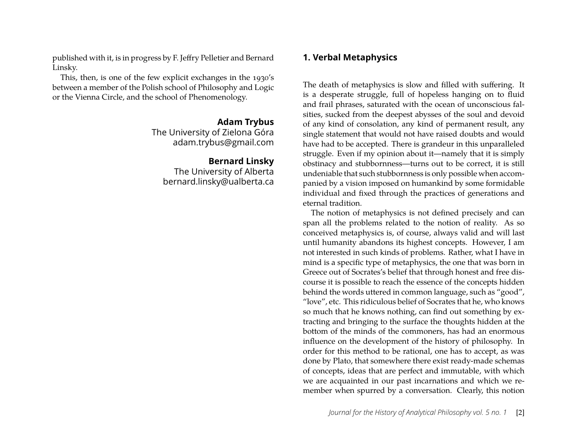published with it, is in progress by F. Jeffry Pelletier and Bernard Linsky.

This, then, is one of the few explicit exchanges in the 1930's between a member of the Polish school of Philosophy and Logic or the Vienna Circle, and the school of Phenomenology.

#### **Adam Trybus**

The University of Zielona Góra adam.trybus@gmail.com

#### **Bernard Linsky**

The University of Alberta bernard.linsky@ualberta.ca

### **1. Verbal Metaphysics**

The death of metaphysics is slow and filled with suffering. It is a desperate struggle, full of hopeless hanging on to fluid and frail phrases, saturated with the ocean of unconscious falsities, sucked from the deepest abysses of the soul and devoid of any kind of consolation, any kind of permanent result, any single statement that would not have raised doubts and would have had to be accepted. There is grandeur in this unparalleled struggle. Even if my opinion about it—namely that it is simply obstinacy and stubbornness—turns out to be correct, it is still undeniable that such stubbornness is only possible when accompanied by a vision imposed on humankind by some formidable individual and fixed through the practices of generations and eternal tradition.

The notion of metaphysics is not defined precisely and can span all the problems related to the notion of reality. As so conceived metaphysics is, of course, always valid and will last until humanity abandons its highest concepts. However, I am not interested in such kinds of problems. Rather, what I have in mind is a specific type of metaphysics, the one that was born in Greece out of Socrates's belief that through honest and free discourse it is possible to reach the essence of the concepts hidden behind the words uttered in common language, such as "good", "love", etc. This ridiculous belief of Socrates that he, who knows so much that he knows nothing, can find out something by extracting and bringing to the surface the thoughts hidden at the bottom of the minds of the commoners, has had an enormous influence on the development of the history of philosophy. In order for this method to be rational, one has to accept, as was done by Plato, that somewhere there exist ready-made schemas of concepts, ideas that are perfect and immutable, with which we are acquainted in our past incarnations and which we remember when spurred by a conversation. Clearly, this notion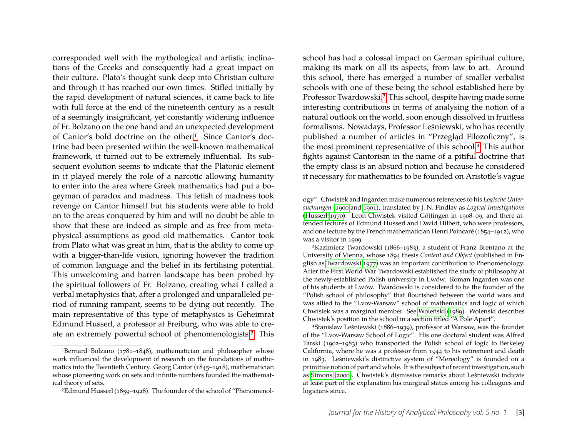corresponded well with the mythological and artistic inclinations of the Greeks and consequently had a great impact on their culture. Plato's thought sunk deep into Christian culture and through it has reached our own times. Stifled initially by the rapid development of natural sciences, it came back to life with full force at the end of the nineteenth century as a result of a seemingly insignificant, yet constantly widening influence of Fr. Bolzano on the one hand and an unexpected development of Cantor's bold doctrine on the other.[1](#page-3-0) Since Cantor's doctrine had been presented within the well-known mathematical framework, it turned out to be extremely influential. Its subsequent evolution seems to indicate that the Platonic element in it played merely the role of a narcotic allowing humanity to enter into the area where Greek mathematics had put a bogeyman of paradox and madness. This fetish of madness took revenge on Cantor himself but his students were able to hold on to the areas conquered by him and will no doubt be able to show that these are indeed as simple and as free from metaphysical assumptions as good old mathematics. Cantor took from Plato what was great in him, that is the ability to come up with a bigger-than-life vision, ignoring however the tradition of common language and the belief in its fertilising potential. This unwelcoming and barren landscape has been probed by the spiritual followers of Fr. Bolzano, creating what I called a verbal metaphysics that, after a prolonged and unparalleled period of running rampant, seems to be dying out recently. The main representative of this type of metaphysics is Geheimrat Edmund Husserl, a professor at Freiburg, who was able to create an extremely powerful school of phenomenologists.[2](#page-3-1) This

school has had a colossal impact on German spiritual culture, making its mark on all its aspects, from law to art. Around this school, there has emerged a number of smaller verbalist schools with one of these being the school established here by Professor Twardowski.[3](#page-3-2) This school, despite having made some interesting contributions in terms of analysing the notion of a natural outlook on the world, soon enough dissolved in fruitless formalisms. Nowadays, Professor Leśniewski, who has recently published a number of articles in "Przegląd Filozoficzny", is the most prominent representative of this school.[4](#page-3-3) This author fights against Cantorism in the name of a pitiful doctrine that the empty class is an absurd notion and because he considered it necessary for mathematics to be founded on Aristotle's vague

<span id="page-3-3"></span>4Stanislaw Leśniewski (1886–1939), professor at Warsaw, was the founder of the "Lvov-Warsaw School of Logic". His one doctoral student was Alfred Tarski (1902–1983) who transported the Polish school of logic to Berkeley California, where he was a professor from 1944 to his retirement and death in 1983. Leśniewski's distinctive system of "Mereology" is founded on a primitive notion of part and whole. It is the subject of recent investigation, such as [Simons \(2000\)](#page-20-11). Chwistek's dismissive remarks about Leśniewski indicate at least part of the explanation his marginal status among his colleagues and logicians since.

<span id="page-3-0"></span><sup>&</sup>lt;sup>1</sup>Bernard Bolzano ( $1781-1848$ ), mathematician and philosopher whose work influenced the development of research on the foundations of mathematics into the Twentieth Century. Georg Cantor (1845–1918), mathematician whose pioneering work on sets and infinite numbers founded the mathematical theory of sets.

<span id="page-3-1"></span><sup>2</sup>Edmund Husserl (1859–1928). The founder of the school of "Phenomenol-

ogy". Chwistek and Ingarden make numerous references to his *Logische Untersuchungen* [\(1900](#page-20-6) and [1901\)](#page-20-7), translated by J. N. Findlay as *Logical Investigations* [\(Husserl 1970\)](#page-20-8). Leon Chwistek visited Göttingen in 1908–09, and there attended lectures of Edmund Husserl and David Hilbert, who were professors, and one lecture by the French mathematician Henri Poincaré (1854–1912), who was a visitor in 1909.

<span id="page-3-2"></span><sup>3</sup>Kazimierz Twardowski (1866–1983), a student of Franz Brentano at the University of Vienna, whose 1894 thesis *Content and Object* (published in English as [Twardowski 1977\)](#page-20-9) was an important contribution to Phenomenology. After the First World War Twardowski established the study of philosophy at the newly-established Polish university in Lwów. Roman Ingarden was one of his students at Lwów. Twardowski is considered to be the founder of the "Polish school of philosophy" that flourished between the world wars and was allied to the "Lvov-Warsaw" school of mathematics and logic of which Chwistek was a marginal member. See [Woleński \(1989\)](#page-20-10). Wolenski describes Chwistek's position in the school in a section titled "A Pole Apart".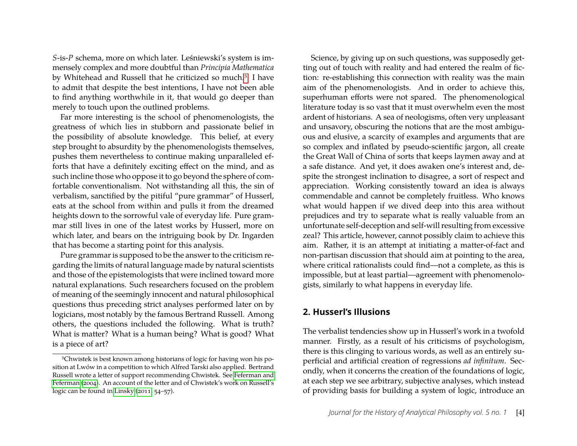*S*-is-*P* schema, more on which later. Leśniewski's system is immensely complex and more doubtful than *Principia Mathematica* by Whitehead and Russell that he criticized so much.<sup>[5](#page-4-0)</sup> I have to admit that despite the best intentions, I have not been able to find anything worthwhile in it, that would go deeper than merely to touch upon the outlined problems.

Far more interesting is the school of phenomenologists, the greatness of which lies in stubborn and passionate belief in the possibility of absolute knowledge. This belief, at every step brought to absurdity by the phenomenologists themselves, pushes them nevertheless to continue making unparalleled efforts that have a definitely exciting effect on the mind, and as such incline those who oppose it to go beyond the sphere of comfortable conventionalism. Not withstanding all this, the sin of verbalism, sanctified by the pitiful "pure grammar" of Husserl, eats at the school from within and pulls it from the dreamed heights down to the sorrowful vale of everyday life. Pure grammar still lives in one of the latest works by Husserl, more on which later, and bears on the intriguing book by Dr. Ingarden that has become a starting point for this analysis.

Pure grammar is supposed to be the answer to the criticism regarding the limits of natural language made by natural scientists and those of the epistemologists that were inclined toward more natural explanations. Such researchers focused on the problem of meaning of the seemingly innocent and natural philosophical questions thus preceding strict analyses performed later on by logicians, most notably by the famous Bertrand Russell. Among others, the questions included the following. What is truth? What is matter? What is a human being? What is good? What is a piece of art?

Science, by giving up on such questions, was supposedly getting out of touch with reality and had entered the realm of fiction: re-establishing this connection with reality was the main aim of the phenomenologists. And in order to achieve this, superhuman efforts were not spared. The phenomenological literature today is so vast that it must overwhelm even the most ardent of historians. A sea of neologisms, often very unpleasant and unsavory, obscuring the notions that are the most ambiguous and elusive, a scarcity of examples and arguments that are so complex and inflated by pseudo-scientific jargon, all create the Great Wall of China of sorts that keeps laymen away and at a safe distance. And yet, it does awaken one's interest and, despite the strongest inclination to disagree, a sort of respect and appreciation. Working consistently toward an idea is always commendable and cannot be completely fruitless. Who knows what would happen if we dived deep into this area without prejudices and try to separate what is really valuable from an unfortunate self-deception and self-will resulting from excessive zeal? This article, however, cannot possibly claim to achieve this aim. Rather, it is an attempt at initiating a matter-of-fact and non-partisan discussion that should aim at pointing to the area, where critical rationalists could find—not a complete, as this is impossible, but at least partial—agreement with phenomenologists, similarly to what happens in everyday life.

#### **2. Husserl's Illusions**

The verbalist tendencies show up in Husserl's work in a twofold manner. Firstly, as a result of his criticisms of psychologism, there is this clinging to various words, as well as an entirely superficial and artificial creation of regressions *ad infinitum*. Secondly, when it concerns the creation of the foundations of logic, at each step we see arbitrary, subjective analyses, which instead of providing basis for building a system of logic, introduce an

<span id="page-4-0"></span><sup>5</sup>Chwistek is best known among historians of logic for having won his position at Lwów in a competition to which Alfred Tarski also applied. Bertrand Russell wrote a letter of support recommending Chwistek. See [Feferman and](#page-20-12) [Feferman \(2004\)](#page-20-12). An account of the letter and of Chwistek's work on Russell's logic can be found in [Linsky \(2011,](#page-20-13) 54–57).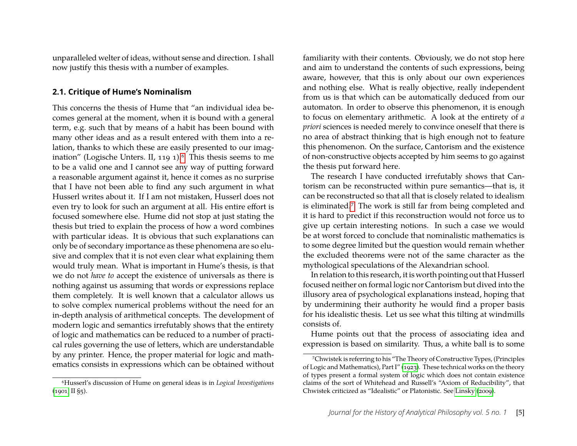unparalleled welter of ideas, without sense and direction. I shall now justify this thesis with a number of examples.

#### **2.1. Critique of Hume's Nominalism**

This concerns the thesis of Hume that "an individual idea becomes general at the moment, when it is bound with a general term, e.g. such that by means of a habit has been bound with many other ideas and as a result entered with them into a relation, thanks to which these are easily presented to our imagination" (Logische Unters. II, 119 1). $6$  This thesis seems to me to be a valid one and I cannot see any way of putting forward a reasonable argument against it, hence it comes as no surprise that I have not been able to find any such argument in what Husserl writes about it. If I am not mistaken, Husserl does not even try to look for such an argument at all. His entire effort is focused somewhere else. Hume did not stop at just stating the thesis but tried to explain the process of how a word combines with particular ideas. It is obvious that such explanations can only be of secondary importance as these phenomena are so elusive and complex that it is not even clear what explaining them would truly mean. What is important in Hume's thesis, is that we do not *have to* accept the existence of universals as there is nothing against us assuming that words or expressions replace them completely. It is well known that a calculator allows us to solve complex numerical problems without the need for an in-depth analysis of arithmetical concepts. The development of modern logic and semantics irrefutably shows that the entirety of logic and mathematics can be reduced to a number of practical rules governing the use of letters, which are understandable by any printer. Hence, the proper material for logic and mathematics consists in expressions which can be obtained without familiarity with their contents. Obviously, we do not stop here and aim to understand the contents of such expressions, being aware, however, that this is only about our own experiences and nothing else. What is really objective, really independent from us is that which can be automatically deduced from our automaton. In order to observe this phenomenon, it is enough to focus on elementary arithmetic. A look at the entirety of *a priori* sciences is needed merely to convince oneself that there is no area of abstract thinking that is high enough not to feature this phenomenon. On the surface, Cantorism and the existence of non-constructive objects accepted by him seems to go against the thesis put forward here.

The research I have conducted irrefutably shows that Cantorism can be reconstructed within pure semantics—that is, it can be reconstructed so that all that is closely related to idealism is eliminated.[7](#page-5-1) The work is still far from being completed and it is hard to predict if this reconstruction would not force us to give up certain interesting notions. In such a case we would be at worst forced to conclude that nominalistic mathematics is to some degree limited but the question would remain whether the excluded theorems were not of the same character as the mythological speculations of the Alexandrian school.

In relation to this research, it is worth pointing out that Husserl focused neither on formal logic nor Cantorism but dived into the illusory area of psychological explanations instead, hoping that by undermining their authority he would find a proper basis for his idealistic thesis. Let us see what this tilting at windmills consists of.

Hume points out that the process of associating idea and expression is based on similarity. Thus, a white ball is to some

<span id="page-5-0"></span><sup>6</sup>Husserl's discussion of Hume on general ideas is in *Logical Investigations* [\(1901,](#page-20-7) II §5).

<span id="page-5-1"></span><sup>7</sup>Chwistek is referring to his "The Theory of Constructive Types, (Principles of Logic and Mathematics), Part I" [\(1923\)](#page-20-14). These technical works on the theory of types present a formal system of logic which does not contain existence claims of the sort of Whitehead and Russell's "Axiom of Reducibility", that Chwistek criticized as "Idealistic" or Platonistic. See [Linsky \(2009\)](#page-20-15).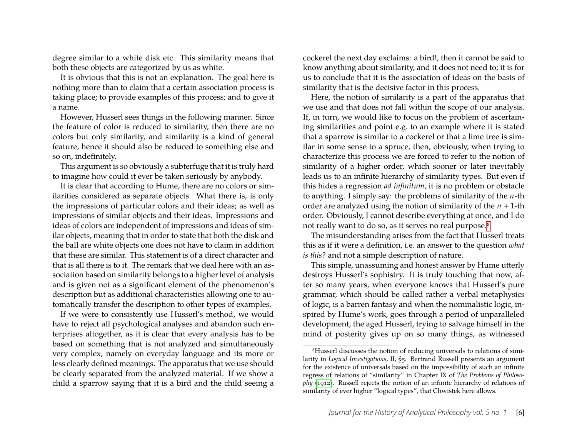degree similar to a white disk etc. This similarity means that both these objects are categorized by us as white.

It is obvious that this is not an explanation. The goal here is nothing more than to claim that a certain association process is taking place; to provide examples of this process; and to give it a name.

However, Husserl sees things in the following manner. Since the feature of color is reduced to similarity, then there are no colors but only similarity, and similarity is a kind of general feature, hence it should also be reduced to something else and so on, indefinitely.

This argument is so obviously a subterfuge that it is truly hard to imagine how could it ever be taken seriously by anybody.

It is clear that according to Hume, there are no colors or similarities considered as separate objects. What there is, is only the impressions of particular colors and their ideas; as well as impressions of similar objects and their ideas. Impressions and ideas of colors are independent of impressions and ideas of similar objects, meaning that in order to state that both the disk and the ball are white objects one does not have to claim in addition that these are similar. This statement is of a direct character and that is all there is to it. The remark that we deal here with an association based on similarity belongs to a higher level of analysis and is given not as a significant element of the phenomenon's description but as additional characteristics allowing one to automatically transfer the description to other types of examples.

If we were to consistently use Husserl's method, we would have to reject all psychological analyses and abandon such enterprises altogether, as it is clear that every analysis has to be based on something that is not analyzed and simultaneously very complex, namely on everyday language and its more or less clearly defined meanings. The apparatus that we use should be clearly separated from the analyzed material. If we show a child a sparrow saying that it is a bird and the child seeing a

cockerel the next day exclaims: a bird!, then it cannot be said to know anything about similarity, and it does not need to; it is for us to conclude that it is the association of ideas on the basis of similarity that is the decisive factor in this process.

Here, the notion of similarity is a part of the apparatus that we use and that does not fall within the scope of our analysis. If, in turn, we would like to focus on the problem of ascertaining similarities and point e.g. to an example where it is stated that a sparrow is similar to a cockerel or that a lime tree is similar in some sense to a spruce, then, obviously, when trying to characterize this process we are forced to refer to the notion of similarity of a higher order, which sooner or later inevitably leads us to an infinite hierarchy of similarity types. But even if this hides a regression *ad infinitum*, it is no problem or obstacle to anything. I simply say: the problems of similarity of the *n*-th order are analyzed using the notion of similarity of the *n* + 1-th order. Obviously, I cannot describe everything at once, and I do not really want to do so, as it serves no real purpose.[8](#page-6-0)

The misunderstanding arises from the fact that Husserl treats this as if it were a definition, i.e. an answer to the question *what is this?* and not a simple description of nature.

This simple, unassuming and honest answer by Hume utterly destroys Husserl's sophistry. It is truly touching that now, after so many years, when everyone knows that Husserl's pure grammar, which should be called rather a verbal metaphysics of logic, is a barren fantasy and when the nominalistic logic, inspired by Hume's work, goes through a period of unparalleled development, the aged Husserl, trying to salvage himself in the mind of posterity gives up on so many things, as witnessed

<span id="page-6-0"></span><sup>8</sup>Husserl discusses the notion of reducing universals to relations of similarity in *Logical Investigations*, II, §5. Bertrand Russell presents an argument for the existence of universals based on the impossibility of such an infinite regress of relations of "similarity" in Chapter IX of *The Problems of Philosophy* [\(1912\)](#page-20-16). Russell rejects the notion of an infinite hierarchy of relations of similarity of ever higher "logical types", that Chwistek here allows.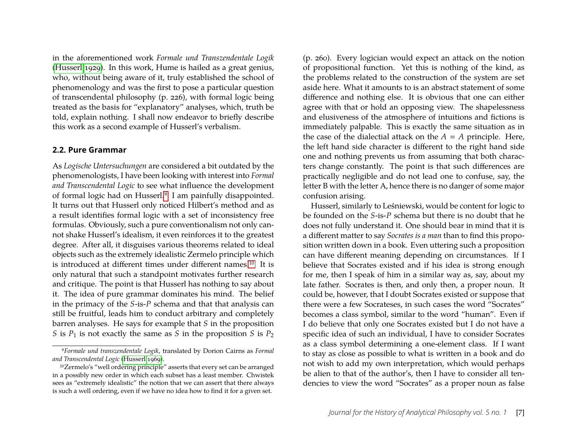in the aforementioned work *Formale und Transzendentale Logik* [\(Husserl 1929\)](#page-20-17). In this work, Hume is hailed as a great genius, who, without being aware of it, truly established the school of phenomenology and was the first to pose a particular question of transcendental philosophy (p. 226), with formal logic being treated as the basis for "explanatory" analyses, which, truth be told, explain nothing. I shall now endeavor to briefly describe this work as a second example of Husserl's verbalism.

#### **2.2. Pure Grammar**

As *Logische Untersuchungen* are considered a bit outdated by the phenomenologists, I have been looking with interest into *Formal and Transcendental Logic* to see what influence the development of formal logic had on Husserl.[9](#page-7-0) I am painfully disappointed. It turns out that Husserl only noticed Hilbert's method and as a result identifies formal logic with a set of inconsistency free formulas. Obviously, such a pure conventionalism not only cannot shake Husserl's idealism, it even reinforces it to the greatest degree. After all, it disguises various theorems related to ideal objects such as the extremely idealistic Zermelo principle which is introduced at different times under different names.[10](#page-7-1) It is only natural that such a standpoint motivates further research and critique. The point is that Husserl has nothing to say about it. The idea of pure grammar dominates his mind. The belief in the primacy of the *S*-is-*P* schema and that that analysis can still be fruitful, leads him to conduct arbitrary and completely barren analyses. He says for example that *S* in the proposition *S* is  $P_1$  is not exactly the same as *S* in the proposition *S* is  $P_2$ 

(p. 260). Every logician would expect an attack on the notion of propositional function. Yet this is nothing of the kind, as the problems related to the construction of the system are set aside here. What it amounts to is an abstract statement of some difference and nothing else. It is obvious that one can either agree with that or hold an opposing view. The shapelessness and elusiveness of the atmosphere of intuitions and fictions is immediately palpable. This is exactly the same situation as in the case of the dialectial attack on the  $A = A$  principle. Here, the left hand side character is different to the right hand side one and nothing prevents us from assuming that both characters change constantly. The point is that such differences are practically negligible and do not lead one to confuse, say, the letter B with the letter A, hence there is no danger of some major confusion arising.

Husserl, similarly to Leśniewski, would be content for logic to be founded on the *S*-is-*P* schema but there is no doubt that he does not fully understand it. One should bear in mind that it is a different matter to say *Socrates is a man* than to find this proposition written down in a book. Even uttering such a proposition can have different meaning depending on circumstances. If I believe that Socrates existed and if his idea is strong enough for me, then I speak of him in a similar way as, say, about my late father. Socrates is then, and only then, a proper noun. It could be, however, that I doubt Socrates existed or suppose that there were a few Socrateses, in such cases the word "Socrates" becomes a class symbol, similar to the word "human". Even if I do believe that only one Socrates existed but I do not have a specific idea of such an individual, I have to consider Socrates as a class symbol determining a one-element class. If I want to stay as close as possible to what is written in a book and do not wish to add my own interpretation, which would perhaps be alien to that of the author's, then I have to consider all tendencies to view the word "Socrates" as a proper noun as false

<span id="page-7-0"></span><sup>9</sup>*Formale und transzendentale Logik*, translated by Dorion Cairns as *Formal and Transcendental Logic* [\(Husserl 1969\)](#page-20-18).

<span id="page-7-1"></span><sup>10</sup>Zermelo's "well ordering principle" asserts that every set can be arranged in a possibly new order in which each subset has a least member. Chwistek sees as "extremely idealistic" the notion that we can assert that there always is such a well ordering, even if we have no idea how to find it for a given set.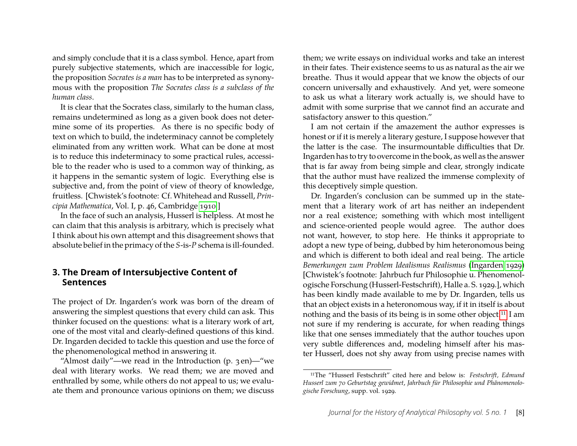and simply conclude that it is a class symbol. Hence, apart from purely subjective statements, which are inaccessible for logic, the proposition *Socrates is a man* has to be interpreted as synonymous with the proposition *The Socrates class is a subclass of the human class*.

It is clear that the Socrates class, similarly to the human class, remains undetermined as long as a given book does not determine some of its properties. As there is no specific body of text on which to build, the indeterminacy cannot be completely eliminated from any written work. What can be done at most is to reduce this indeterminacy to some practical rules, accessible to the reader who is used to a common way of thinking, as it happens in the semantic system of logic. Everything else is subjective and, from the point of view of theory of knowledge, fruitless. [Chwistek's footnote: Cf. Whitehead and Russell, *Principia Mathematica*, Vol. I, p. 46, Cambridge [1910.](#page-20-2)]

In the face of such an analysis, Husserl is helpless. At most he can claim that this analysis is arbitrary, which is precisely what I think about his own attempt and this disagreement shows that absolute belief in the primacy of the *S*-is-*P* schema is ill-founded.

#### **3. The Dream of Intersubjective Content of Sentences**

The project of Dr. Ingarden's work was born of the dream of answering the simplest questions that every child can ask. This thinker focused on the questions: what is a literary work of art, one of the most vital and clearly-defined questions of this kind. Dr. Ingarden decided to tackle this question and use the force of the phenomenological method in answering it.

them; we write essays on individual works and take an interest in their fates. Their existence seems to us as natural as the air we breathe. Thus it would appear that we know the objects of our concern universally and exhaustively. And yet, were someone to ask us what a literary work actually is, we should have to admit with some surprise that we cannot find an accurate and satisfactory answer to this question."

I am not certain if the amazement the author expresses is honest or if it is merely a literary gesture, I suppose however that the latter is the case. The insurmountable difficulties that Dr. Ingarden has to try to overcome in the book, as well as the answer that is far away from being simple and clear, strongly indicate that the author must have realized the immense complexity of this deceptively simple question.

Dr. Ingarden's conclusion can be summed up in the statement that a literary work of art has neither an independent nor a real existence; something with which most intelligent and science-oriented people would agree. The author does not want, however, to stop here. He thinks it appropriate to adopt a new type of being, dubbed by him heteronomous being and which is different to both ideal and real being. The article *Bemerkungen zum Problem Idealismus Realismus* [\(Ingarden 1929\)](#page-20-19) [Chwistek's footnote: Jahrbuch fur Philosophie u. Phenomenologische Forschung (Husserl-Festschrift), Halle a. S. 1929.], which has been kindly made available to me by Dr. Ingarden, tells us that an object exists in a heteronomous way, if it in itself is about nothing and the basis of its being is in some other object.[11](#page-8-0) I am not sure if my rendering is accurate, for when reading things like that one senses immediately that the author touches upon very subtle differences and, modeling himself after his master Husserl, does not shy away from using precise names with

<sup>&</sup>quot;Almost daily"—we read in the Introduction  $(p. 3en)$ —"we deal with literary works. We read them; we are moved and enthralled by some, while others do not appeal to us; we evaluate them and pronounce various opinions on them; we discuss

<span id="page-8-0"></span><sup>11</sup>The "Husserl Festschrift" cited here and below is: *Festschrift, Edmund Husserl zum 70 Geburtstag gewidmet*, *Jahrbuch für Philosophie und Phänomenologische Forschung*, supp. vol. 1929.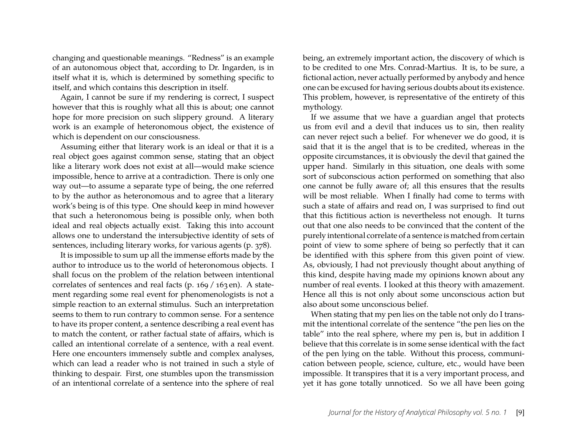changing and questionable meanings. "Redness" is an example of an autonomous object that, according to Dr. Ingarden, is in itself what it is, which is determined by something specific to itself, and which contains this description in itself.

Again, I cannot be sure if my rendering is correct, I suspect however that this is roughly what all this is about; one cannot hope for more precision on such slippery ground. A literary work is an example of heteronomous object, the existence of which is dependent on our consciousness.

Assuming either that literary work is an ideal or that it is a real object goes against common sense, stating that an object like a literary work does not exist at all—would make science impossible, hence to arrive at a contradiction. There is only one way out—to assume a separate type of being, the one referred to by the author as heteronomous and to agree that a literary work's being is of this type. One should keep in mind however that such a heteronomous being is possible only, when both ideal and real objects actually exist. Taking this into account allows one to understand the intersubjective identity of sets of sentences, including literary works, for various agents (p. 378).

It is impossible to sum up all the immense efforts made by the author to introduce us to the world of heteronomous objects. I shall focus on the problem of the relation between intentional correlates of sentences and real facts (p. 169 / 163 en). A statement regarding some real event for phenomenologists is not a simple reaction to an external stimulus. Such an interpretation seems to them to run contrary to common sense. For a sentence to have its proper content, a sentence describing a real event has to match the content, or rather factual state of affairs, which is called an intentional correlate of a sentence, with a real event. Here one encounters immensely subtle and complex analyses, which can lead a reader who is not trained in such a style of thinking to despair. First, one stumbles upon the transmission of an intentional correlate of a sentence into the sphere of real

being, an extremely important action, the discovery of which is to be credited to one Mrs. Conrad-Martius. It is, to be sure, a fictional action, never actually performed by anybody and hence one can be excused for having serious doubts about its existence. This problem, however, is representative of the entirety of this mythology.

If we assume that we have a guardian angel that protects us from evil and a devil that induces us to sin, then reality can never reject such a belief. For whenever we do good, it is said that it is the angel that is to be credited, whereas in the opposite circumstances, it is obviously the devil that gained the upper hand. Similarly in this situation, one deals with some sort of subconscious action performed on something that also one cannot be fully aware of; all this ensures that the results will be most reliable. When I finally had come to terms with such a state of affairs and read on, I was surprised to find out that this fictitious action is nevertheless not enough. It turns out that one also needs to be convinced that the content of the purely intentional correlate of a sentence is matched from certain point of view to some sphere of being so perfectly that it can be identified with this sphere from this given point of view. As, obviously, I had not previously thought about anything of this kind, despite having made my opinions known about any number of real events. I looked at this theory with amazement. Hence all this is not only about some unconscious action but also about some unconscious belief.

When stating that my pen lies on the table not only do I transmit the intentional correlate of the sentence "the pen lies on the table" into the real sphere, where my pen is, but in addition I believe that this correlate is in some sense identical with the fact of the pen lying on the table. Without this process, communication between people, science, culture, etc., would have been impossible. It transpires that it is a very important process, and yet it has gone totally unnoticed. So we all have been going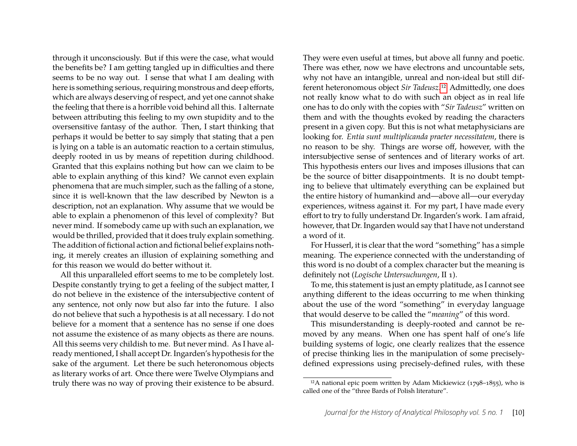through it unconsciously. But if this were the case, what would the benefits be? I am getting tangled up in difficulties and there seems to be no way out. I sense that what I am dealing with here is something serious, requiring monstrous and deep efforts, which are always deserving of respect, and yet one cannot shake the feeling that there is a horrible void behind all this. I alternate between attributing this feeling to my own stupidity and to the oversensitive fantasy of the author. Then, I start thinking that perhaps it would be better to say simply that stating that a pen is lying on a table is an automatic reaction to a certain stimulus, deeply rooted in us by means of repetition during childhood. Granted that this explains nothing but how can we claim to be able to explain anything of this kind? We cannot even explain phenomena that are much simpler, such as the falling of a stone, since it is well-known that the law described by Newton is a description, not an explanation. Why assume that we would be able to explain a phenomenon of this level of complexity? But never mind. If somebody came up with such an explanation, we would be thrilled, provided that it does truly explain something. The addition of fictional action and fictional belief explains nothing, it merely creates an illusion of explaining something and for this reason we would do better without it.

All this unparalleled effort seems to me to be completely lost. Despite constantly trying to get a feeling of the subject matter, I do not believe in the existence of the intersubjective content of any sentence, not only now but also far into the future. I also do not believe that such a hypothesis is at all necessary. I do not believe for a moment that a sentence has no sense if one does not assume the existence of as many objects as there are nouns. All this seems very childish to me. But never mind. As I have already mentioned, I shall accept Dr. Ingarden's hypothesis for the sake of the argument. Let there be such heteronomous objects as literary works of art. Once there were Twelve Olympians and truly there was no way of proving their existence to be absurd. They were even useful at times, but above all funny and poetic. There was ether, now we have electrons and uncountable sets, why not have an intangible, unreal and non-ideal but still different heteronomous object *Sir Tadeusz*.[12](#page-10-0) Admittedly, one does not really know what to do with such an object as in real life one has to do only with the copies with "*Sir Tadeusz*" written on them and with the thoughts evoked by reading the characters present in a given copy. But this is not what metaphysicians are looking for. *Entia sunt multiplicanda praeter necessitatem*, there is no reason to be shy. Things are worse off, however, with the intersubjective sense of sentences and of literary works of art. This hypothesis enters our lives and imposes illusions that can be the source of bitter disappointments. It is no doubt tempting to believe that ultimately everything can be explained but the entire history of humankind and—above all—our everyday experiences, witness against it. For my part, I have made every effort to try to fully understand Dr. Ingarden's work. I am afraid, however, that Dr. Ingarden would say that I have not understand a word of it.

For Husserl, it is clear that the word "something" has a simple meaning. The experience connected with the understanding of this word is no doubt of a complex character but the meaning is definitely not (*Logische Untersuchungen*, II 1).

To me, this statement is just an empty platitude, as I cannot see anything different to the ideas occurring to me when thinking about the use of the word "something" in everyday language that would deserve to be called the "*meaning*" of this word.

This misunderstanding is deeply-rooted and cannot be removed by any means. When one has spent half of one's life building systems of logic, one clearly realizes that the essence of precise thinking lies in the manipulation of some preciselydefined expressions using precisely-defined rules, with these

<span id="page-10-0"></span><sup>&</sup>lt;sup>12</sup>A national epic poem written by Adam Mickiewicz (1798–1855), who is called one of the "three Bards of Polish literature".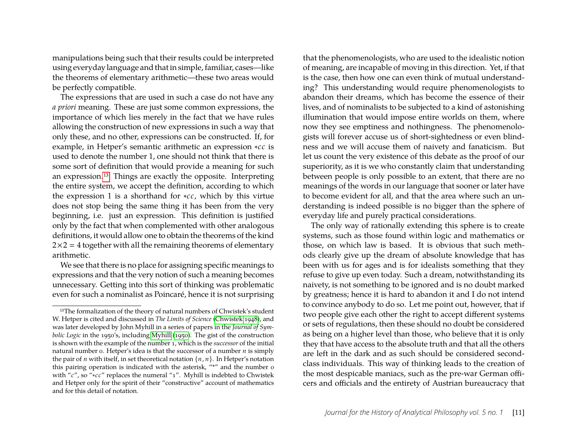manipulations being such that their results could be interpreted using everyday language and that in simple, familiar, cases—like the theorems of elementary arithmetic—these two areas would be perfectly compatible.

The expressions that are used in such a case do not have any *a priori* meaning. These are just some common expressions, the importance of which lies merely in the fact that we have rules allowing the construction of new expressions in such a way that only these, and no other, expressions can be constructed. If, for example, in Hetper's semantic arithmetic an expression ∗*cc* is used to denote the number 1, one should not think that there is some sort of definition that would provide a meaning for such an expression.[13](#page-11-0) Things are exactly the opposite. Interpreting the entire system, we accept the definition, according to which the expression 1 is a shorthand for ∗*cc*, which by this virtue does not stop being the same thing it has been from the very beginning, i.e. just an expression. This definition is justified only by the fact that when complemented with other analogous definitions, it would allow one to obtain the theorems of the kind  $2\times2 = 4$  together with all the remaining theorems of elementary arithmetic.

We see that there is no place for assigning specific meanings to expressions and that the very notion of such a meaning becomes unnecessary. Getting into this sort of thinking was problematic even for such a nominalist as Poincaré, hence it is not surprising

that the phenomenologists, who are used to the idealistic notion of meaning, are incapable of moving in this direction. Yet, if that is the case, then how one can even think of mutual understanding? This understanding would require phenomenologists to abandon their dreams, which has become the essence of their lives, and of nominalists to be subjected to a kind of astonishing illumination that would impose entire worlds on them, where now they see emptiness and nothingness. The phenomenologists will forever accuse us of short-sightedness or even blindness and we will accuse them of naivety and fanaticism. But let us count the very existence of this debate as the proof of our superiority, as it is we who constantly claim that understanding between people is only possible to an extent, that there are no meanings of the words in our language that sooner or later have to become evident for all, and that the area where such an understanding is indeed possible is no bigger than the sphere of everyday life and purely practical considerations.

The only way of rationally extending this sphere is to create systems, such as those found within logic and mathematics or those, on which law is based. It is obvious that such methods clearly give up the dream of absolute knowledge that has been with us for ages and is for idealists something that they refuse to give up even today. Such a dream, notwithstanding its naivety, is not something to be ignored and is no doubt marked by greatness; hence it is hard to abandon it and I do not intend to convince anybody to do so. Let me point out, however, that if two people give each other the right to accept different systems or sets of regulations, then these should no doubt be considered as being on a higher level than those, who believe that it is only they that have access to the absolute truth and that all the others are left in the dark and as such should be considered secondclass individuals. This way of thinking leads to the creation of the most despicable maniacs, such as the pre-war German officers and officials and the entirety of Austrian bureaucracy that

<span id="page-11-0"></span><sup>&</sup>lt;sup>13</sup>The formalization of the theory of natural numbers of Chwistek's student W. Hetper is cited and discussed in *The Limits of Science* [\(Chwistek 1948\)](#page-20-3), and was later developed by John Myhill in a series of papers in the *Journal of Symbolic Logic* in the 1950's, including [Myhill \(1950\)](#page-20-20). The gist of the construction is shown with the example of the number 1, which is the *successor* of the initial natural number 0. Hetper's idea is that the successor of a number *n* is simply the pair of *<sup>n</sup>* with itself, in set theoretical notation {*n*, *<sup>n</sup>*}. In Hetper's notation this pairing operation is indicated with the asterisk, "\*" and the number 0 with "*c*", so "∗*cc*" replaces the numeral "1". Myhill is indebted to Chwistek and Hetper only for the spirit of their "constructive" account of mathematics and for this detail of notation.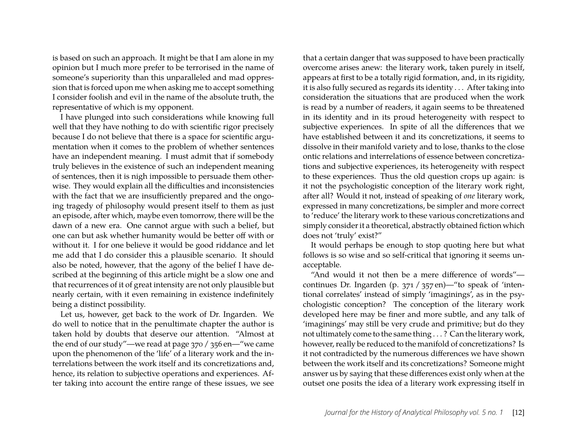is based on such an approach. It might be that I am alone in my opinion but I much more prefer to be terrorised in the name of someone's superiority than this unparalleled and mad oppression that is forced upon me when asking me to accept something I consider foolish and evil in the name of the absolute truth, the representative of which is my opponent.

I have plunged into such considerations while knowing full well that they have nothing to do with scientific rigor precisely because I do not believe that there is a space for scientific argumentation when it comes to the problem of whether sentences have an independent meaning. I must admit that if somebody truly believes in the existence of such an independent meaning of sentences, then it is nigh impossible to persuade them otherwise. They would explain all the difficulties and inconsistencies with the fact that we are insufficiently prepared and the ongoing tragedy of philosophy would present itself to them as just an episode, after which, maybe even tomorrow, there will be the dawn of a new era. One cannot argue with such a belief, but one can but ask whether humanity would be better off with or without it. I for one believe it would be good riddance and let me add that I do consider this a plausible scenario. It should also be noted, however, that the agony of the belief I have described at the beginning of this article might be a slow one and that recurrences of it of great intensity are not only plausible but nearly certain, with it even remaining in existence indefinitely being a distinct possibility.

Let us, however, get back to the work of Dr. Ingarden. We do well to notice that in the penultimate chapter the author is taken hold by doubts that deserve our attention. "Almost at the end of our study"—we read at page 370 / 356 en—"we came upon the phenomenon of the 'life' of a literary work and the interrelations between the work itself and its concretizations and, hence, its relation to subjective operations and experiences. After taking into account the entire range of these issues, we see

that a certain danger that was supposed to have been practically overcome arises anew: the literary work, taken purely in itself, appears at first to be a totally rigid formation, and, in its rigidity, it is also fully secured as regards its identity . . . After taking into consideration the situations that are produced when the work is read by a number of readers, it again seems to be threatened in its identity and in its proud heterogeneity with respect to subjective experiences. In spite of all the differences that we have established between it and its concretizations, it seems to dissolve in their manifold variety and to lose, thanks to the close ontic relations and interrelations of essence between concretizations and subjective experiences, its heterogeneity with respect to these experiences. Thus the old question crops up again: is it not the psychologistic conception of the literary work right, after all? Would it not, instead of speaking of *one* literary work, expressed in many concretizations, be simpler and more correct to 'reduce' the literary work to these various concretizations and simply consider it a theoretical, abstractly obtained fiction which does not 'truly' exist?"

It would perhaps be enough to stop quoting here but what follows is so wise and so self-critical that ignoring it seems unacceptable.

"And would it not then be a mere difference of words" continues Dr. Ingarden (p. 371 / 357 en)—"to speak of 'intentional correlates' instead of simply 'imaginings', as in the psychologistic conception? The conception of the literary work developed here may be finer and more subtle, and any talk of 'imaginings' may still be very crude and primitive; but do they not ultimately come to the same thing . . . ? Can the literary work, however, really be reduced to the manifold of concretizations? Is it not contradicted by the numerous differences we have shown between the work itself and its concretizations? Someone might answer us by saying that these differences exist only when at the outset one posits the idea of a literary work expressing itself in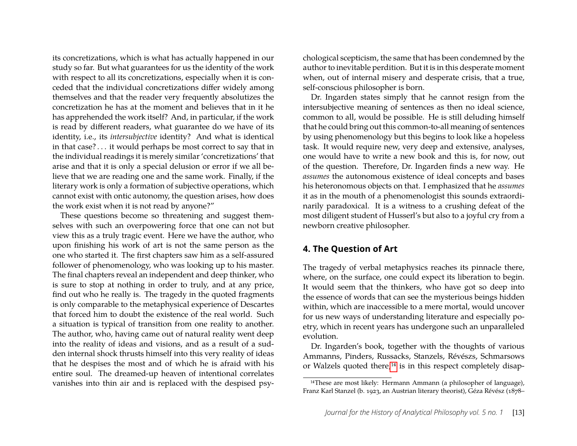its concretizations, which is what has actually happened in our study so far. But what guarantees for us the identity of the work with respect to all its concretizations, especially when it is conceded that the individual concretizations differ widely among themselves and that the reader very frequently absolutizes the concretization he has at the moment and believes that in it he has apprehended the work itself? And, in particular, if the work is read by different readers, what guarantee do we have of its identity, i.e., its *intersubjective* identity? And what is identical in that case? . . . it would perhaps be most correct to say that in the individual readings it is merely similar 'concretizations' that arise and that it is only a special delusion or error if we all believe that we are reading one and the same work. Finally, if the literary work is only a formation of subjective operations, which cannot exist with ontic autonomy, the question arises, how does the work exist when it is not read by anyone?"

These questions become so threatening and suggest themselves with such an overpowering force that one can not but view this as a truly tragic event. Here we have the author, who upon finishing his work of art is not the same person as the one who started it. The first chapters saw him as a self-assured follower of phenomenology, who was looking up to his master. The final chapters reveal an independent and deep thinker, who is sure to stop at nothing in order to truly, and at any price, find out who he really is. The tragedy in the quoted fragments is only comparable to the metaphysical experience of Descartes that forced him to doubt the existence of the real world. Such a situation is typical of transition from one reality to another. The author, who, having came out of natural reality went deep into the reality of ideas and visions, and as a result of a sudden internal shock thrusts himself into this very reality of ideas that he despises the most and of which he is afraid with his entire soul. The dreamed-up heaven of intentional correlates vanishes into thin air and is replaced with the despised psy-

chological scepticism, the same that has been condemned by the author to inevitable perdition. But it is in this desperate moment when, out of internal misery and desperate crisis, that a true, self-conscious philosopher is born.

Dr. Ingarden states simply that he cannot resign from the intersubjective meaning of sentences as then no ideal science, common to all, would be possible. He is still deluding himself that he could bring out this common-to-all meaning of sentences by using phenomenology but this begins to look like a hopeless task. It would require new, very deep and extensive, analyses, one would have to write a new book and this is, for now, out of the question. Therefore, Dr. Ingarden finds a new way. He *assumes* the autonomous existence of ideal concepts and bases his heteronomous objects on that. I emphasized that he *assumes* it as in the mouth of a phenomenologist this sounds extraordinarily paradoxical. It is a witness to a crushing defeat of the most diligent student of Husserl's but also to a joyful cry from a newborn creative philosopher.

#### **4. The Question of Art**

The tragedy of verbal metaphysics reaches its pinnacle there, where, on the surface, one could expect its liberation to begin. It would seem that the thinkers, who have got so deep into the essence of words that can see the mysterious beings hidden within, which are inaccessible to a mere mortal, would uncover for us new ways of understanding literature and especially poetry, which in recent years has undergone such an unparalleled evolution.

Dr. Ingarden's book, together with the thoughts of various Ammanns, Pinders, Russacks, Stanzels, Révészs, Schmarsows or Walzels quoted there,<sup>[14](#page-13-0)</sup> is in this respect completely disap-

<span id="page-13-0"></span><sup>&</sup>lt;sup>14</sup>These are most likely: Hermann Ammann (a philosopher of language), Franz Karl Stanzel (b. 1923, an Austrian literary theorist), Géza Révész (1878–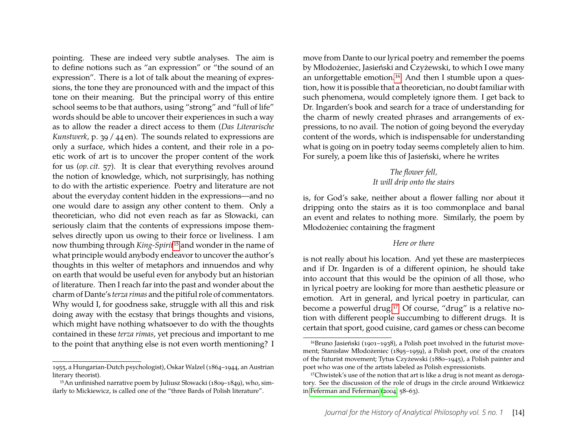pointing. These are indeed very subtle analyses. The aim is to define notions such as "an expression" or "the sound of an expression". There is a lot of talk about the meaning of expressions, the tone they are pronounced with and the impact of this tone on their meaning. But the principal worry of this entire school seems to be that authors, using "strong" and "full of life" words should be able to uncover their experiences in such a way as to allow the reader a direct access to them (*Das Literarische Kunstwerk*, p. 39 / 44 en). The sounds related to expressions are only a surface, which hides a content, and their role in a poetic work of art is to uncover the proper content of the work for us (*op. cit.* 57). It is clear that everything revolves around the notion of knowledge, which, not surprisingly, has nothing to do with the artistic experience. Poetry and literature are not about the everyday content hidden in the expressions—and no one would dare to assign any other content to them. Only a theoretician, who did not even reach as far as Słowacki, can seriously claim that the contents of expressions impose themselves directly upon us owing to their force or liveliness. I am now thumbing through *King-Spirit*[15](#page-14-0) and wonder in the name of what principle would anybody endeavor to uncover the author's thoughts in this welter of metaphors and innuendos and why on earth that would be useful even for anybody but an historian of literature. Then I reach far into the past and wonder about the charm of Dante's *terza rimas* and the pitiful role of commentators. Why would I, for goodness sake, struggle with all this and risk doing away with the ecstasy that brings thoughts and visions, which might have nothing whatsoever to do with the thoughts contained in these *terza rimas*, yet precious and important to me to the point that anything else is not even worth mentioning? I

move from Dante to our lyrical poetry and remember the poems by Młodożeniec, Jasieński and Czyżewski, to which I owe many an unforgettable emotion.<sup>[16](#page-14-1)</sup> And then I stumble upon a question, how it is possible that a theoretician, no doubt familiar with such phenomena, would completely ignore them. I get back to Dr. Ingarden's book and search for a trace of understanding for the charm of newly created phrases and arrangements of expressions, to no avail. The notion of going beyond the everyday content of the words, which is indispensable for understanding what is going on in poetry today seems completely alien to him. For surely, a poem like this of Jasieński, where he writes

#### *The flower fell, It will drip onto the stairs*

is, for God's sake, neither about a flower falling nor about it dripping onto the stairs as it is too commonplace and banal an event and relates to nothing more. Similarly, the poem by Młodożeniec containing the fragment

#### *Here or there*

is not really about his location. And yet these are masterpieces and if Dr. Ingarden is of a different opinion, he should take into account that this would be the opinion of all those, who in lyrical poetry are looking for more than aesthetic pleasure or emotion. Art in general, and lyrical poetry in particular, can become a powerful drug.[17](#page-14-2) Of course, "drug" is a relative notion with different people succumbing to different drugs. It is certain that sport, good cuisine, card games or chess can become

<sup>1955,</sup> a Hungarian-Dutch psychologist), Oskar Walzel (1864–1944, an Austrian literary theorist).

<span id="page-14-0"></span><sup>15</sup>An unfinished narrative poem by Juliusz Słowacki (1809–1849), who, similarly to Mickiewicz, is called one of the "three Bards of Polish literature".

<span id="page-14-1"></span><sup>16</sup>Bruno Jasieński (1901–1938), a Polish poet involved in the futurist movement; Stanisław Młodożeniec (1895–1959), a Polish poet, one of the creators of the futurist movement; Tytus Czyżewski (1880–1945), a Polish painter and poet who was one of the artists labeled as Polish expressionists.

<span id="page-14-2"></span><sup>&</sup>lt;sup>17</sup>Chwistek's use of the notion that art is like a drug is not meant as derogatory. See the discussion of the role of drugs in the circle around Witkiewicz in [Feferman and Feferman \(2004,](#page-20-12) 58–63).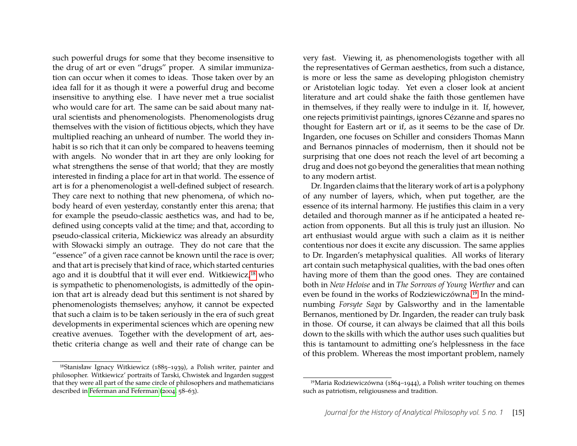such powerful drugs for some that they become insensitive to the drug of art or even "drugs" proper. A similar immunization can occur when it comes to ideas. Those taken over by an idea fall for it as though it were a powerful drug and become insensitive to anything else. I have never met a true socialist who would care for art. The same can be said about many natural scientists and phenomenologists. Phenomenologists drug themselves with the vision of fictitious objects, which they have multiplied reaching an unheard of number. The world they inhabit is so rich that it can only be compared to heavens teeming with angels. No wonder that in art they are only looking for what strengthens the sense of that world; that they are mostly interested in finding a place for art in that world. The essence of art is for a phenomenologist a well-defined subject of research. They care next to nothing that new phenomena, of which nobody heard of even yesterday, constantly enter this arena; that for example the pseudo-classic aesthetics was, and had to be, defined using concepts valid at the time; and that, according to pseudo-classical criteria, Mickiewicz was already an absurdity with Słowacki simply an outrage. They do not care that the "essence" of a given race cannot be known until the race is over; and that art is precisely that kind of race, which started centuries ago and it is doubtful that it will ever end. Witkiewicz,[18](#page-15-0) who is sympathetic to phenomenologists, is admittedly of the opinion that art is already dead but this sentiment is not shared by phenomenologists themselves; anyhow, it cannot be expected that such a claim is to be taken seriously in the era of such great developments in experimental sciences which are opening new creative avenues. Together with the development of art, aesthetic criteria change as well and their rate of change can be

very fast. Viewing it, as phenomenologists together with all the representatives of German aesthetics, from such a distance, is more or less the same as developing phlogiston chemistry or Aristotelian logic today. Yet even a closer look at ancient literature and art could shake the faith those gentlemen have in themselves, if they really were to indulge in it. If, however, one rejects primitivist paintings, ignores Cézanne and spares no thought for Eastern art or if, as it seems to be the case of Dr. Ingarden, one focuses on Schiller and considers Thomas Mann and Bernanos pinnacles of modernism, then it should not be surprising that one does not reach the level of art becoming a drug and does not go beyond the generalities that mean nothing to any modern artist.

Dr. Ingarden claims that the literary work of art is a polyphony of any number of layers, which, when put together, are the essence of its internal harmony. He justifies this claim in a very detailed and thorough manner as if he anticipated a heated reaction from opponents. But all this is truly just an illusion. No art enthusiast would argue with such a claim as it is neither contentious nor does it excite any discussion. The same applies to Dr. Ingarden's metaphysical qualities. All works of literary art contain such metaphysical qualities, with the bad ones often having more of them than the good ones. They are contained both in *New Heloise* and in *The Sorrows of Young Werther* and can even be found in the works of Rodziewiczówna.[19](#page-15-1) In the mindnumbing *Forsyte Saga* by Galsworthy and in the lamentable Bernanos, mentioned by Dr. Ingarden, the reader can truly bask in those. Of course, it can always be claimed that all this boils down to the skills with which the author uses such qualities but this is tantamount to admitting one's helplessness in the face of this problem. Whereas the most important problem, namely

<span id="page-15-0"></span><sup>18</sup>Stanisław Ignacy Witkiewicz (1885–1939), a Polish writer, painter and philosopher. Witkiewicz' portraits of Tarski, Chwistek and Ingarden suggest that they were all part of the same circle of philosophers and mathematicians described in [Feferman and Feferman \(2004,](#page-20-12) 58–63).

<span id="page-15-1"></span><sup>19</sup>Maria Rodziewiczówna (1864–1944), a Polish writer touching on themes such as patriotism, religiousness and tradition.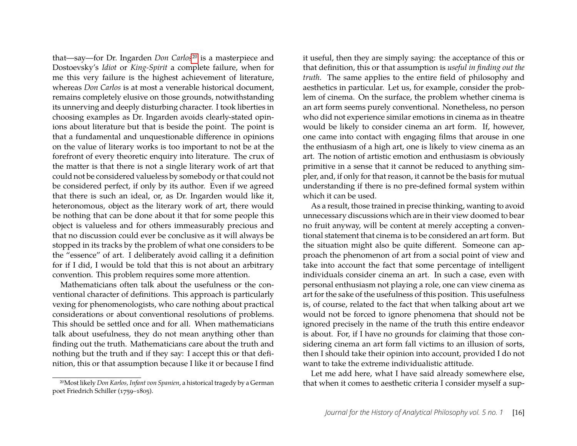that—say—for Dr. Ingarden *Don Carlos*[20](#page-16-0) is a masterpiece and Dostoevsky's *Idiot* or *King-Spirit* a complete failure, when for me this very failure is the highest achievement of literature, whereas *Don Carlos* is at most a venerable historical document, remains completely elusive on those grounds, notwithstanding its unnerving and deeply disturbing character. I took liberties in choosing examples as Dr. Ingarden avoids clearly-stated opinions about literature but that is beside the point. The point is that a fundamental and unquestionable difference in opinions on the value of literary works is too important to not be at the forefront of every theoretic enquiry into literature. The crux of the matter is that there is not a single literary work of art that could not be considered valueless by somebody or that could not be considered perfect, if only by its author. Even if we agreed that there is such an ideal, or, as Dr. Ingarden would like it, heteronomous, object as the literary work of art, there would be nothing that can be done about it that for some people this object is valueless and for others immeasurably precious and that no discussion could ever be conclusive as it will always be stopped in its tracks by the problem of what one considers to be the "essence" of art. I deliberately avoid calling it a definition for if I did, I would be told that this is not about an arbitrary convention. This problem requires some more attention.

Mathematicians often talk about the usefulness or the conventional character of definitions. This approach is particularly vexing for phenomenologists, who care nothing about practical considerations or about conventional resolutions of problems. This should be settled once and for all. When mathematicians talk about usefulness, they do not mean anything other than finding out the truth. Mathematicians care about the truth and nothing but the truth and if they say: I accept this or that definition, this or that assumption because I like it or because I find

it useful, then they are simply saying: the acceptance of this or that definition, this or that assumption is *useful in finding out the truth*. The same applies to the entire field of philosophy and aesthetics in particular. Let us, for example, consider the problem of cinema. On the surface, the problem whether cinema is an art form seems purely conventional. Nonetheless, no person who did not experience similar emotions in cinema as in theatre would be likely to consider cinema an art form. If, however, one came into contact with engaging films that arouse in one the enthusiasm of a high art, one is likely to view cinema as an art. The notion of artistic emotion and enthusiasm is obviously primitive in a sense that it cannot be reduced to anything simpler, and, if only for that reason, it cannot be the basis for mutual understanding if there is no pre-defined formal system within which it can be used.

As a result, those trained in precise thinking, wanting to avoid unnecessary discussions which are in their view doomed to bear no fruit anyway, will be content at merely accepting a conventional statement that cinema is to be considered an art form. But the situation might also be quite different. Someone can approach the phenomenon of art from a social point of view and take into account the fact that some percentage of intelligent individuals consider cinema an art. In such a case, even with personal enthusiasm not playing a role, one can view cinema as art for the sake of the usefulness of this position. This usefulness is, of course, related to the fact that when talking about art we would not be forced to ignore phenomena that should not be ignored precisely in the name of the truth this entire endeavor is about. For, if I have no grounds for claiming that those considering cinema an art form fall victims to an illusion of sorts, then I should take their opinion into account, provided I do not want to take the extreme individualistic attitude.

Let me add here, what I have said already somewhere else, that when it comes to aesthetic criteria I consider myself a sup-

<span id="page-16-0"></span><sup>20</sup>Most likely *Don Karlos, Infant von Spanien*, a historical tragedy by a German poet Friedrich Schiller (1759–1805).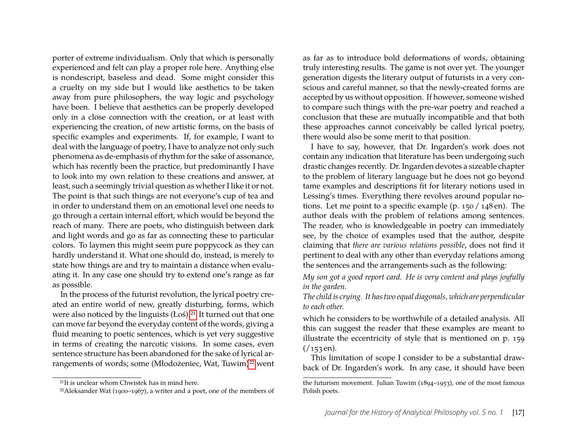porter of extreme individualism. Only that which is personally experienced and felt can play a proper role here. Anything else is nondescript, baseless and dead. Some might consider this a cruelty on my side but I would like aesthetics to be taken away from pure philosophers, the way logic and psychology have been. I believe that aesthetics can be properly developed only in a close connection with the creation, or at least with experiencing the creation, of new artistic forms, on the basis of specific examples and experiments. If, for example, I want to deal with the language of poetry, I have to analyze not only such phenomena as de-emphasis of rhythm for the sake of assonance, which has recently been the practice, but predominantly I have to look into my own relation to these creations and answer, at least, such a seemingly trivial question as whether I like it or not. The point is that such things are not everyone's cup of tea and in order to understand them on an emotional level one needs to go through a certain internal effort, which would be beyond the reach of many. There are poets, who distinguish between dark and light words and go as far as connecting these to particular colors. To laymen this might seem pure poppycock as they can hardly understand it. What one should do, instead, is merely to state how things are and try to maintain a distance when evaluating it. In any case one should try to extend one's range as far as possible.

In the process of the futurist revolution, the lyrical poetry created an entire world of new, greatly disturbing, forms, which were also noticed by the linguists (Łoś).<sup>[21](#page-17-0)</sup> It turned out that one can move far beyond the everyday content of the words, giving a fluid meaning to poetic sentences, which is yet very suggestive in terms of creating the narcotic visions. In some cases, even sentence structure has been abandoned for the sake of lyrical ar-rangements of words; some (Młodożeniec, Wat, Tuwim)<sup>[22](#page-17-1)</sup> went as far as to introduce bold deformations of words, obtaining truly interesting results. The game is not over yet. The younger generation digests the literary output of futurists in a very conscious and careful manner, so that the newly-created forms are accepted by us without opposition. If however, someone wished to compare such things with the pre-war poetry and reached a conclusion that these are mutually incompatible and that both these approaches cannot conceivably be called lyrical poetry, there would also be some merit to that position.

I have to say, however, that Dr. Ingarden's work does not contain any indication that literature has been undergoing such drastic changes recently. Dr. Ingarden devotes a sizeable chapter to the problem of literary language but he does not go beyond tame examples and descriptions fit for literary notions used in Lessing's times. Everything there revolves around popular notions. Let me point to a specific example (p. 150 / 148 en). The author deals with the problem of relations among sentences. The reader, who is knowledgeable in poetry can immediately see, by the choice of examples used that the author, despite claiming that *there are various relations possible*, does not find it pertinent to deal with any other than everyday relations among the sentences and the arrangements such as the following:

*My son got a good report card. He is very content and plays joyfully in the garden.*

*The child is crying. It has two equal diagonals, which are perpendicular to each other.*

which he considers to be worthwhile of a detailed analysis. All this can suggest the reader that these examples are meant to illustrate the eccentricity of style that is mentioned on p. 159  $(153 \text{ en}).$ 

This limitation of scope I consider to be a substantial drawback of Dr. Ingarden's work. In any case, it should have been

<span id="page-17-0"></span><sup>21</sup>It is unclear whom Chwistek has in mind here.

<span id="page-17-1"></span> $22$ Aleksander Wat (1900–1967), a writer and a poet, one of the members of

the futurism movement. Julian Tuwim (1894–1953), one of the most famous Polish poets.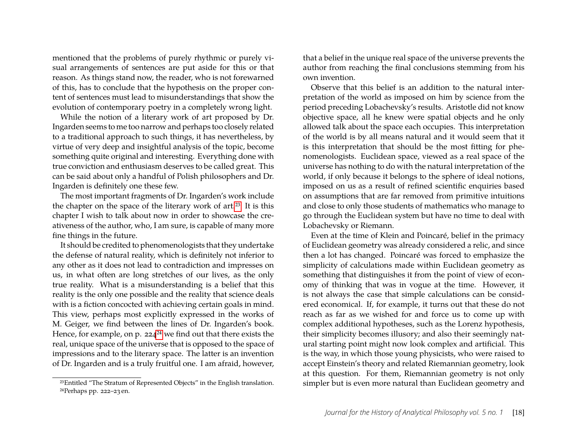mentioned that the problems of purely rhythmic or purely visual arrangements of sentences are put aside for this or that reason. As things stand now, the reader, who is not forewarned of this, has to conclude that the hypothesis on the proper content of sentences must lead to misunderstandings that show the evolution of contemporary poetry in a completely wrong light.

While the notion of a literary work of art proposed by Dr. Ingarden seems to me too narrow and perhaps too closely related to a traditional approach to such things, it has nevertheless, by virtue of very deep and insightful analysis of the topic, become something quite original and interesting. Everything done with true conviction and enthusiasm deserves to be called great. This can be said about only a handful of Polish philosophers and Dr. Ingarden is definitely one these few.

The most important fragments of Dr. Ingarden's work include the chapter on the space of the literary work of art.<sup>[23](#page-18-0)</sup> It is this chapter I wish to talk about now in order to showcase the creativeness of the author, who, I am sure, is capable of many more fine things in the future.

It should be credited to phenomenologists that they undertake the defense of natural reality, which is definitely not inferior to any other as it does not lead to contradiction and impresses on us, in what often are long stretches of our lives, as the only true reality. What is a misunderstanding is a belief that this reality is the only one possible and the reality that science deals with is a fiction concocted with achieving certain goals in mind. This view, perhaps most explicitly expressed in the works of M. Geiger, we find between the lines of Dr. Ingarden's book. Hence, for example, on p.  $224^{24}$  $224^{24}$  $224^{24}$  we find out that there exists the real, unique space of the universe that is opposed to the space of impressions and to the literary space. The latter is an invention of Dr. Ingarden and is a truly fruitful one. I am afraid, however, that a belief in the unique real space of the universe prevents the author from reaching the final conclusions stemming from his own invention.

Observe that this belief is an addition to the natural interpretation of the world as imposed on him by science from the period preceding Lobachevsky's results. Aristotle did not know objective space, all he knew were spatial objects and he only allowed talk about the space each occupies. This interpretation of the world is by all means natural and it would seem that it is this interpretation that should be the most fitting for phenomenologists. Euclidean space, viewed as a real space of the universe has nothing to do with the natural interpretation of the world, if only because it belongs to the sphere of ideal notions, imposed on us as a result of refined scientific enquiries based on assumptions that are far removed from primitive intuitions and close to only those students of mathematics who manage to go through the Euclidean system but have no time to deal with Lobachevsky or Riemann.

Even at the time of Klein and Poincaré, belief in the primacy of Euclidean geometry was already considered a relic, and since then a lot has changed. Poincaré was forced to emphasize the simplicity of calculations made within Euclidean geometry as something that distinguishes it from the point of view of economy of thinking that was in vogue at the time. However, it is not always the case that simple calculations can be considered economical. If, for example, it turns out that these do not reach as far as we wished for and force us to come up with complex additional hypotheses, such as the Lorenz hypothesis, their simplicity becomes illusory; and also their seemingly natural starting point might now look complex and artificial. This is the way, in which those young physicists, who were raised to accept Einstein's theory and related Riemannian geometry, look at this question. For them, Riemannian geometry is not only simpler but is even more natural than Euclidean geometry and

<span id="page-18-1"></span><span id="page-18-0"></span><sup>23</sup>Entitled "The Stratum of Represented Objects" in the English translation. 24Perhaps pp. 222–23 en.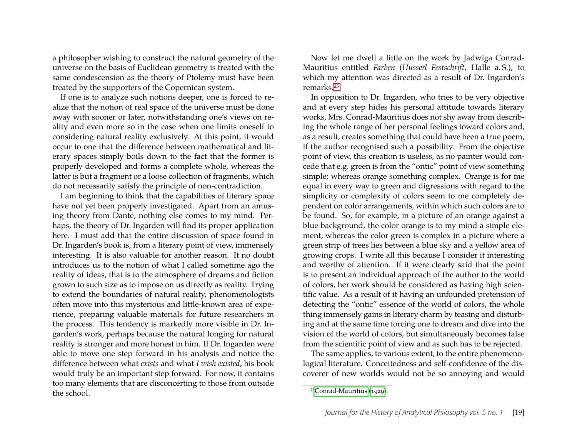a philosopher wishing to construct the natural geometry of the universe on the basis of Euclidean geometry is treated with the same condescension as the theory of Ptolemy must have been treated by the supporters of the Copernican system.

If one is to analyze such notions deeper, one is forced to realize that the notion of real space of the universe must be done away with sooner or later, notwithstanding one's views on reality and even more so in the case when one limits oneself to considering natural reality exclusively. At this point, it would occur to one that the difference between mathematical and literary spaces simply boils down to the fact that the former is properly developed and forms a complete whole, whereas the latter is but a fragment or a loose collection of fragments, which do not necessarily satisfy the principle of non-contradiction.

I am beginning to think that the capabilities of literary space have not yet been properly investigated. Apart from an amusing theory from Dante, nothing else comes to my mind. Perhaps, the theory of Dr. Ingarden will find its proper application here. I must add that the entire discussion of space found in Dr. Ingarden's book is, from a literary point of view, immensely interesting. It is also valuable for another reason. It no doubt introduces us to the notion of what I called sometime ago the reality of ideas, that is to the atmosphere of dreams and fiction grown to such size as to impose on us directly as reality. Trying to extend the boundaries of natural reality, phenomenologists often move into this mysterious and little-known area of experience, preparing valuable materials for future researchers in the process. This tendency is markedly more visible in Dr. Ingarden's work, perhaps because the natural longing for natural reality is stronger and more honest in him. If Dr. Ingarden were able to move one step forward in his analysis and notice the difference between what *exists* and what *I wish existed*, his book would truly be an important step forward. For now, it contains too many elements that are disconcerting to those from outside the school.

Now let me dwell a little on the work by Jadwiga Conrad-Mauritius entitled *Farben* (*Husserl Festschrift*, Halle a. S.), to which my attention was directed as a result of Dr. Ingarden's remarks.[25](#page-19-0)

In opposition to Dr. Ingarden, who tries to be very objective and at every step hides his personal attitude towards literary works, Mrs. Conrad-Mauritius does not shy away from describing the whole range of her personal feelings toward colors and, as a result, creates something that could have been a true poem, if the author recognised such a possibility. From the objective point of view, this creation is useless, as no painter would concede that e.g. green is from the "ontic" point of view something simple; whereas orange something complex. Orange is for me equal in every way to green and digressions with regard to the simplicity or complexity of colors seem to me completely dependent on color arrangements, within which such colors are to be found. So, for example, in a picture of an orange against a blue background, the color orange is to my mind a simple element, whereas the color green is complex in a picture where a green strip of trees lies between a blue sky and a yellow area of growing crops. I write all this because I consider it interesting and worthy of attention. If it were clearly said that the point is to present an individual approach of the author to the world of colors, her work should be considered as having high scientific value. As a result of it having an unfounded pretension of detecting the "ontic" essence of the world of colors, the whole thing immensely gains in literary charm by teasing and disturbing and at the same time forcing one to dream and dive into the vision of the world of colors, but simultaneously becomes false from the scientific point of view and as such has to be rejected.

The same applies, to various extent, to the entire phenomenological literature. Conceitedness and self-confidence of the discoverer of new worlds would not be so annoying and would

<span id="page-19-0"></span><sup>25</sup>[Conrad-Mauritius \(1929\)](#page-20-21).